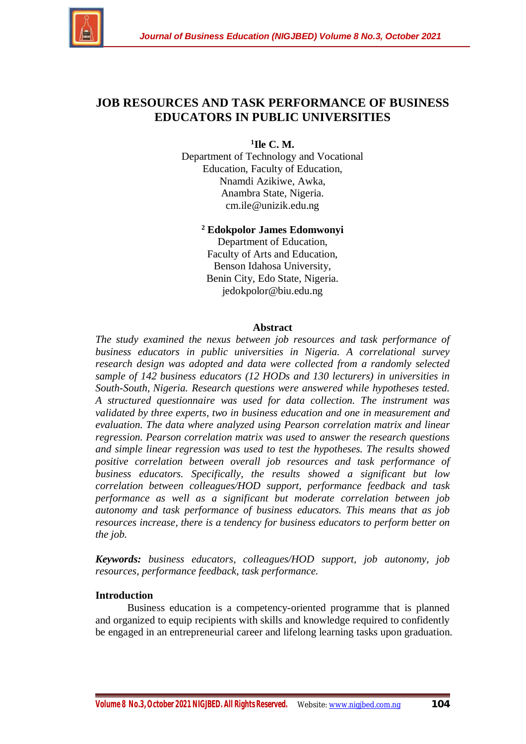

# **JOB RESOURCES AND TASK PERFORMANCE OF BUSINESS EDUCATORS IN PUBLIC UNIVERSITIES**

**1 Ile C. M.**

Department of Technology and Vocational Education, Faculty of Education, Nnamdi Azikiwe, Awka, Anambra State, Nigeria. cm.ile@unizik.edu.ng

**<sup>2</sup> Edokpolor James Edomwonyi**

Department of Education, Faculty of Arts and Education, Benson Idahosa University, Benin City, Edo State, Nigeria. jedokpolor@biu.edu.ng

#### **Abstract**

*The study examined the nexus between job resources and task performance of business educators in public universities in Nigeria. A correlational survey research design was adopted and data were collected from a randomly selected sample of 142 business educators (12 HODs and 130 lecturers) in universities in South-South, Nigeria. Research questions were answered while hypotheses tested. A structured questionnaire was used for data collection. The instrument was validated by three experts, two in business education and one in measurement and evaluation. The data where analyzed using Pearson correlation matrix and linear regression. Pearson correlation matrix was used to answer the research questions and simple linear regression was used to test the hypotheses. The results showed positive correlation between overall job resources and task performance of business educators. Specifically, the results showed a significant but low correlation between colleagues/HOD support, performance feedback and task performance as well as a significant but moderate correlation between job autonomy and task performance of business educators. This means that as job resources increase, there is a tendency for business educators to perform better on the job.*

*Keywords: business educators, colleagues/HOD support, job autonomy, job resources, performance feedback, task performance.*

## **Introduction**

Business education is a competency-oriented programme that is planned and organized to equip recipients with skills and knowledge required to confidently be engaged in an entrepreneurial career and lifelong learning tasks upon graduation.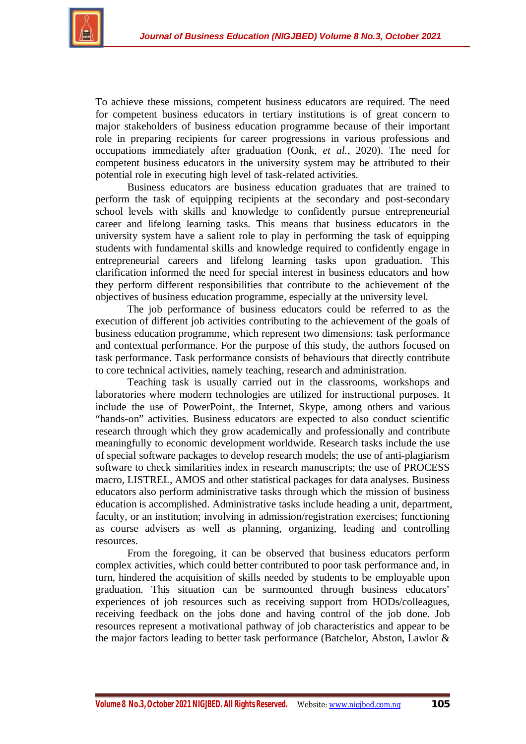

To achieve these missions, competent business educators are required. The need for competent business educators in tertiary institutions is of great concern to major stakeholders of business education programme because of their important role in preparing recipients for career progressions in various professions and occupations immediately after graduation (Oonk, *et al.,* 2020). The need for competent business educators in the university system may be attributed to their potential role in executing high level of task-related activities.

Business educators are business education graduates that are trained to perform the task of equipping recipients at the secondary and post-secondary school levels with skills and knowledge to confidently pursue entrepreneurial career and lifelong learning tasks. This means that business educators in the university system have a salient role to play in performing the task of equipping students with fundamental skills and knowledge required to confidently engage in entrepreneurial careers and lifelong learning tasks upon graduation. This clarification informed the need for special interest in business educators and how they perform different responsibilities that contribute to the achievement of the objectives of business education programme, especially at the university level.

The job performance of business educators could be referred to as the execution of different job activities contributing to the achievement of the goals of business education programme, which represent two dimensions: task performance and contextual performance. For the purpose of this study, the authors focused on task performance. Task performance consists of behaviours that directly contribute to core technical activities, namely teaching, research and administration.

Teaching task is usually carried out in the classrooms, workshops and laboratories where modern technologies are utilized for instructional purposes. It include the use of PowerPoint, the Internet, Skype, among others and various "hands-on" activities. Business educators are expected to also conduct scientific research through which they grow academically and professionally and contribute meaningfully to economic development worldwide. Research tasks include the use of special software packages to develop research models; the use of anti-plagiarism software to check similarities index in research manuscripts; the use of PROCESS macro, LISTREL, AMOS and other statistical packages for data analyses. Business educators also perform administrative tasks through which the mission of business education is accomplished. Administrative tasks include heading a unit, department, faculty, or an institution; involving in admission/registration exercises; functioning as course advisers as well as planning, organizing, leading and controlling resources.

From the foregoing, it can be observed that business educators perform complex activities, which could better contributed to poor task performance and, in turn, hindered the acquisition of skills needed by students to be employable upon graduation. This situation can be surmounted through business educators' experiences of job resources such as receiving support from HODs/colleagues, receiving feedback on the jobs done and having control of the job done. Job resources represent a motivational pathway of job characteristics and appear to be the major factors leading to better task performance (Batchelor, Abston, Lawlor &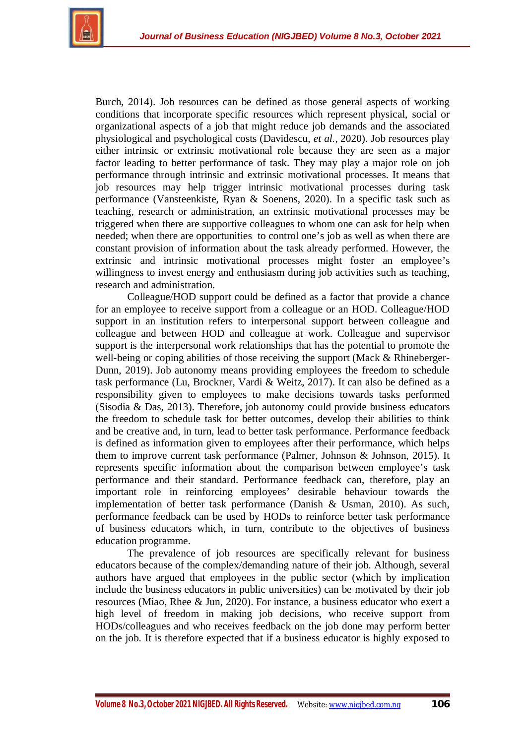

Burch, 2014). Job resources can be defined as those general aspects of working conditions that incorporate specific resources which represent physical, social or organizational aspects of a job that might reduce job demands and the associated physiological and psychological costs (Davidescu, *et al.,* 2020). Job resources play either intrinsic or extrinsic motivational role because they are seen as a major factor leading to better performance of task. They may play a major role on job performance through intrinsic and extrinsic motivational processes. It means that job resources may help trigger intrinsic motivational processes during task performance (Vansteenkiste, Ryan & Soenens, 2020). In a specific task such as teaching, research or administration, an extrinsic motivational processes may be triggered when there are supportive colleagues to whom one can ask for help when needed; when there are opportunities to control one's job as well as when there are constant provision of information about the task already performed. However, the extrinsic and intrinsic motivational processes might foster an employee's willingness to invest energy and enthusiasm during job activities such as teaching, research and administration.

Colleague/HOD support could be defined as a factor that provide a chance for an employee to receive support from a colleague or an HOD. Colleague/HOD support in an institution refers to interpersonal support between colleague and colleague and between HOD and colleague at work. Colleague and supervisor support is the interpersonal work relationships that has the potential to promote the well-being or coping abilities of those receiving the support (Mack & Rhineberger-Dunn, 2019). Job autonomy means providing employees the freedom to schedule task performance (Lu, Brockner, Vardi & Weitz, 2017). It can also be defined as a responsibility given to employees to make decisions towards tasks performed (Sisodia & Das, 2013). Therefore, job autonomy could provide business educators the freedom to schedule task for better outcomes, develop their abilities to think and be creative and, in turn, lead to better task performance. Performance feedback is defined as information given to employees after their performance, which helps them to improve current task performance (Palmer, Johnson & Johnson, 2015). It represents specific information about the comparison between employee's task performance and their standard. Performance feedback can, therefore, play an important role in reinforcing employees' desirable behaviour towards the implementation of better task performance (Danish & Usman, 2010). As such, performance feedback can be used by HODs to reinforce better task performance of business educators which, in turn, contribute to the objectives of business education programme.

The prevalence of job resources are specifically relevant for business educators because of the complex/demanding nature of their job. Although, several authors have argued that employees in the public sector (which by implication include the business educators in public universities) can be motivated by their job resources (Miao, Rhee & Jun, 2020). For instance, a business educator who exert a high level of freedom in making job decisions, who receive support from HODs/colleagues and who receives feedback on the job done may perform better on the job. It is therefore expected that if a business educator is highly exposed to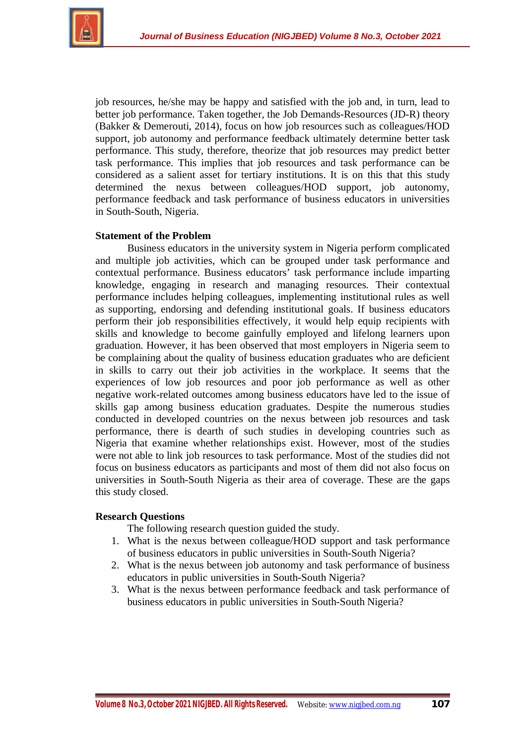

job resources, he/she may be happy and satisfied with the job and, in turn, lead to better job performance. Taken together, the Job Demands-Resources (JD-R) theory (Bakker & Demerouti, 2014), focus on how job resources such as colleagues/HOD support, job autonomy and performance feedback ultimately determine better task performance. This study, therefore, theorize that job resources may predict better task performance. This implies that job resources and task performance can be considered as a salient asset for tertiary institutions. It is on this that this study determined the nexus between colleagues/HOD support, job autonomy, performance feedback and task performance of business educators in universities in South-South, Nigeria.

## **Statement of the Problem**

Business educators in the university system in Nigeria perform complicated and multiple job activities, which can be grouped under task performance and contextual performance. Business educators' task performance include imparting knowledge, engaging in research and managing resources. Their contextual performance includes helping colleagues, implementing institutional rules as well as supporting, endorsing and defending institutional goals. If business educators perform their job responsibilities effectively, it would help equip recipients with skills and knowledge to become gainfully employed and lifelong learners upon graduation. However, it has been observed that most employers in Nigeria seem to be complaining about the quality of business education graduates who are deficient in skills to carry out their job activities in the workplace. It seems that the experiences of low job resources and poor job performance as well as other negative work-related outcomes among business educators have led to the issue of skills gap among business education graduates. Despite the numerous studies conducted in developed countries on the nexus between job resources and task performance, there is dearth of such studies in developing countries such as Nigeria that examine whether relationships exist. However, most of the studies were not able to link job resources to task performance. Most of the studies did not focus on business educators as participants and most of them did not also focus on universities in South-South Nigeria as their area of coverage. These are the gaps this study closed.

## **Research Questions**

The following research question guided the study.

- 1. What is the nexus between colleague/HOD support and task performance of business educators in public universities in South-South Nigeria?
- 2. What is the nexus between job autonomy and task performance of business educators in public universities in South-South Nigeria?
- 3. What is the nexus between performance feedback and task performance of business educators in public universities in South-South Nigeria?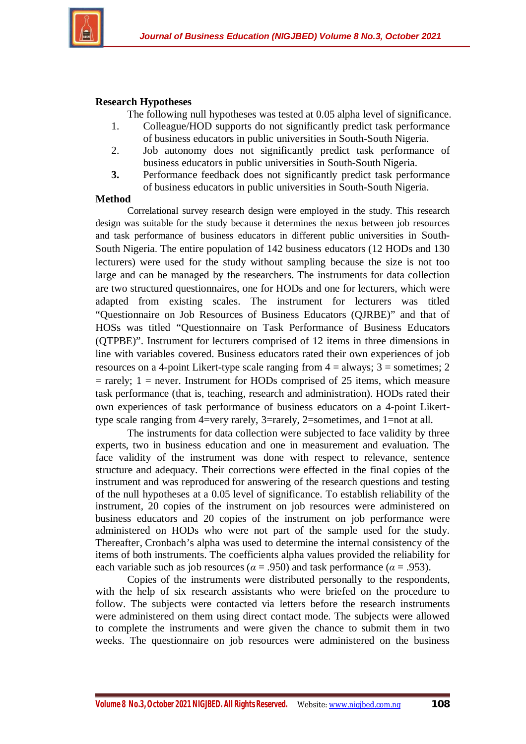

## **Research Hypotheses**

The following null hypotheses was tested at 0.05 alpha level of significance.

- 1. Colleague/HOD supports do not significantly predict task performance of business educators in public universities in South-South Nigeria.
- 2. Job autonomy does not significantly predict task performance of business educators in public universities in South-South Nigeria.
- **3.** Performance feedback does not significantly predict task performance of business educators in public universities in South-South Nigeria.

#### **Method**

Correlational survey research design were employed in the study. This research design was suitable for the study because it determines the nexus between job resources and task performance of business educators in different public universities in South-South Nigeria. The entire population of 142 business educators (12 HODs and 130 lecturers) were used for the study without sampling because the size is not too large and can be managed by the researchers. The instruments for data collection are two structured questionnaires, one for HODs and one for lecturers, which were adapted from existing scales. The instrument for lecturers was titled "Questionnaire on Job Resources of Business Educators (QJRBE)" and that of HOSs was titled "Questionnaire on Task Performance of Business Educators (QTPBE)". Instrument for lecturers comprised of 12 items in three dimensions in line with variables covered. Business educators rated their own experiences of job resources on a 4-point Likert-type scale ranging from  $4 =$  always;  $3 =$  sometimes; 2  $=$  rarely; 1 = never. Instrument for HODs comprised of 25 items, which measure task performance (that is, teaching, research and administration). HODs rated their own experiences of task performance of business educators on a 4-point Likerttype scale ranging from 4=very rarely, 3=rarely, 2=sometimes, and 1=not at all.

The instruments for data collection were subjected to face validity by three experts, two in business education and one in measurement and evaluation. The face validity of the instrument was done with respect to relevance, sentence structure and adequacy. Their corrections were effected in the final copies of the instrument and was reproduced for answering of the research questions and testing of the null hypotheses at a 0.05 level of significance. To establish reliability of the instrument, 20 copies of the instrument on job resources were administered on business educators and 20 copies of the instrument on job performance were administered on HODs who were not part of the sample used for the study. Thereafter, Cronbach's alpha was used to determine the internal consistency of the items of both instruments. The coefficients alpha values provided the reliability for each variable such as job resources ( $\alpha$  = .950) and task performance ( $\alpha$  = .953).

Copies of the instruments were distributed personally to the respondents, with the help of six research assistants who were briefed on the procedure to follow. The subjects were contacted via letters before the research instruments were administered on them using direct contact mode. The subjects were allowed to complete the instruments and were given the chance to submit them in two weeks. The questionnaire on job resources were administered on the business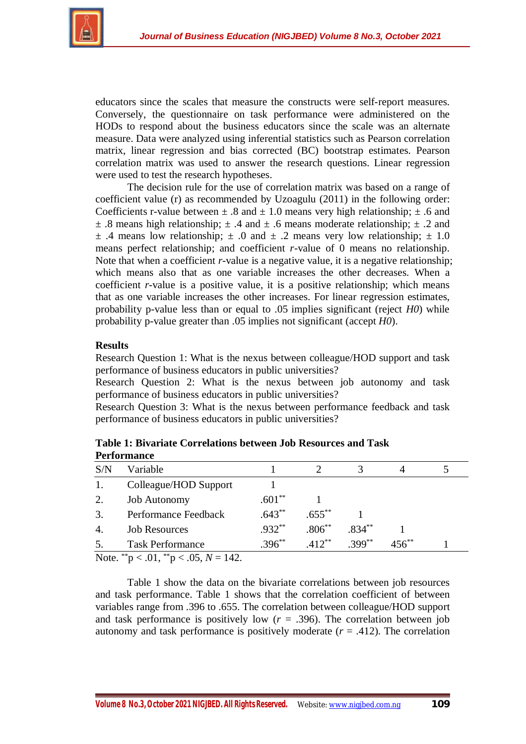

educators since the scales that measure the constructs were self-report measures. Conversely, the questionnaire on task performance were administered on the HODs to respond about the business educators since the scale was an alternate measure. Data were analyzed using inferential statistics such as Pearson correlation matrix, linear regression and bias corrected (BC) bootstrap estimates. Pearson correlation matrix was used to answer the research questions. Linear regression were used to test the research hypotheses.

The decision rule for the use of correlation matrix was based on a range of coefficient value (r) as recommended by Uzoagulu (2011) in the following order: Coefficients r-value between  $\pm$  .8 and  $\pm$  1.0 means very high relationship;  $\pm$  .6 and  $\pm$  .8 means high relationship;  $\pm$  .4 and  $\pm$  .6 means moderate relationship;  $\pm$  .2 and  $\pm$  .4 means low relationship;  $\pm$  .0 and  $\pm$  .2 means very low relationship;  $\pm$  1.0 means perfect relationship; and coefficient *r*-value of 0 means no relationship. Note that when a coefficient *r*-value is a negative value, it is a negative relationship; which means also that as one variable increases the other decreases. When a coefficient *r*-value is a positive value, it is a positive relationship; which means that as one variable increases the other increases. For linear regression estimates, probability p-value less than or equal to .05 implies significant (reject *H0*) while probability p-value greater than .05 implies not significant (accept *H0*).

# **Results**

Research Question 1: What is the nexus between colleague/HOD support and task performance of business educators in public universities?

Research Question 2: What is the nexus between job autonomy and task performance of business educators in public universities?

Research Question 3: What is the nexus between performance feedback and task performance of business educators in public universities?

| S/N           | Variable                                               |           |           |          |            |  |
|---------------|--------------------------------------------------------|-----------|-----------|----------|------------|--|
| 1.            | Colleague/HOD Support                                  |           |           |          |            |  |
| 2.            | <b>Job Autonomy</b>                                    | $.601**$  |           |          |            |  |
| 3.            | Performance Feedback                                   | $.643**$  | $.655***$ |          |            |  |
| 4.            | <b>Job Resources</b>                                   | $.932**$  | $.806***$ | $.834**$ |            |  |
| 5.            | <b>Task Performance</b>                                | $.396***$ | $.412***$ | $399**$  | $456^{**}$ |  |
| $\sim$ $\sim$ | $\sim$ $\sim$ $\sim$ $\sim$ $\sim$<br>ີ<br>$\sim$ $ -$ |           |           |          |            |  |

**Table 1: Bivariate Correlations between Job Resources and Task Performance**

Note. \*\*p < .01, \*\*p < .05,  $N = 142$ .

Table 1 show the data on the bivariate correlations between job resources and task performance. Table 1 shows that the correlation coefficient of between variables range from .396 to .655. The correlation between colleague/HOD support and task performance is positively low  $(r = .396)$ . The correlation between job autonomy and task performance is positively moderate  $(r = .412)$ . The correlation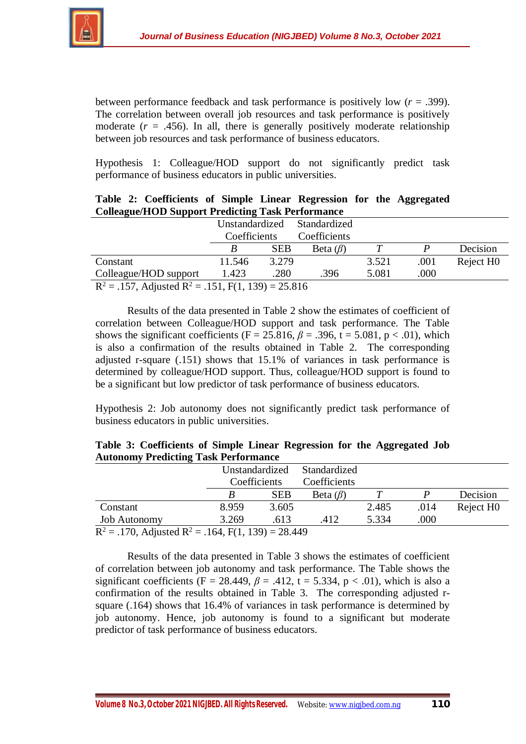

between performance feedback and task performance is positively low (*r* = .399). The correlation between overall job resources and task performance is positively moderate  $(r = .456)$ . In all, there is generally positively moderate relationship between job resources and task performance of business educators.

Hypothesis 1: Colleague/HOD support do not significantly predict task performance of business educators in public universities.

| Colleague/HOD Support Predicting Task Performance               |                |            |                |       |      |                       |  |  |  |  |  |
|-----------------------------------------------------------------|----------------|------------|----------------|-------|------|-----------------------|--|--|--|--|--|
|                                                                 | Unstandardized |            | Standardized   |       |      |                       |  |  |  |  |  |
|                                                                 | Coefficients   |            | Coefficients   |       |      |                       |  |  |  |  |  |
|                                                                 | B              | <b>SEB</b> | Beta $(\beta)$ |       | P    | Decision              |  |  |  |  |  |
| Constant                                                        | 11.546         | 3.279      |                | 3.521 | .001 | Reject H <sub>0</sub> |  |  |  |  |  |
| .000<br>Colleague/HOD support<br>5.081<br>.280<br>.396<br>1.423 |                |            |                |       |      |                       |  |  |  |  |  |
| $R^2 = .157$ , Adjusted $R^2 = .151$ , F(1, 139) = 25.816       |                |            |                |       |      |                       |  |  |  |  |  |

|  | Table 2: Coefficients of Simple Linear Regression for the Aggregated |  |  |  |  |
|--|----------------------------------------------------------------------|--|--|--|--|
|  | <b>Colleague/HOD Support Predicting Task Performance</b>             |  |  |  |  |

Results of the data presented in Table 2 show the estimates of coefficient of correlation between Colleague/HOD support and task performance. The Table shows the significant coefficients (F = 25.816,  $\beta$  = .396, t = 5.081, p < .01), which is also a confirmation of the results obtained in Table 2. The corresponding adjusted r-square (.151) shows that 15.1% of variances in task performance is determined by colleague/HOD support. Thus, colleague/HOD support is found to be a significant but low predictor of task performance of business educators.

Hypothesis 2: Job autonomy does not significantly predict task performance of business educators in public universities.

|                                             | Table 3: Coefficients of Simple Linear Regression for the Aggregated Job |
|---------------------------------------------|--------------------------------------------------------------------------|
| <b>Autonomy Predicting Task Performance</b> |                                                                          |

| $\overline{\phantom{a}}$                                         |              |                             |                |       |      |                       |  |  |  |  |
|------------------------------------------------------------------|--------------|-----------------------------|----------------|-------|------|-----------------------|--|--|--|--|
|                                                                  |              | Unstandardized Standardized |                |       |      |                       |  |  |  |  |
|                                                                  | Coefficients |                             | Coefficients   |       |      |                       |  |  |  |  |
|                                                                  |              | <b>SEB</b>                  | Beta $(\beta)$ |       |      | Decision              |  |  |  |  |
| Constant                                                         | 8.959        | 3.605                       |                | 2.485 | .014 | Reject H <sub>0</sub> |  |  |  |  |
| <b>Job Autonomy</b>                                              | 3.269        | .613                        | .412           | 5.334 | .000 |                       |  |  |  |  |
| $R^2$ = .170, Adjusted R <sup>2</sup> = .164, F(1, 139) = 28.449 |              |                             |                |       |      |                       |  |  |  |  |

Results of the data presented in Table 3 shows the estimates of coefficient of correlation between job autonomy and task performance. The Table shows the significant coefficients (F = 28.449,  $\beta$  = .412, t = 5.334, p < .01), which is also a confirmation of the results obtained in Table 3. The corresponding adjusted rsquare (.164) shows that 16.4% of variances in task performance is determined by job autonomy. Hence, job autonomy is found to a significant but moderate predictor of task performance of business educators.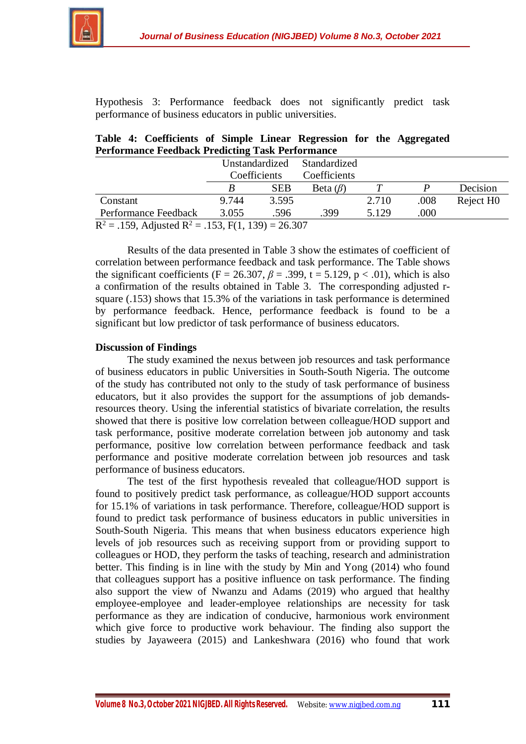

Hypothesis 3: Performance feedback does not significantly predict task performance of business educators in public universities.

|  | Table 4: Coefficients of Simple Linear Regression for the Aggregated |  |  |  |  |
|--|----------------------------------------------------------------------|--|--|--|--|
|  | <b>Performance Feedback Predicting Task Performance</b>              |  |  |  |  |

|                                                         | Unstandardized |            | Standardized   |       |      |                       |  |  |
|---------------------------------------------------------|----------------|------------|----------------|-------|------|-----------------------|--|--|
|                                                         | Coefficients   |            | Coefficients   |       |      |                       |  |  |
|                                                         |                | <b>SEB</b> | Beta $(\beta)$ |       |      | Decision              |  |  |
| Constant                                                | 9.744          | 3.595      |                | 2.710 | .008 | Reject H <sub>0</sub> |  |  |
| Performance Feedback                                    | 3.055          | .596       | .399           | 5.129 | .000 |                       |  |  |
| $R^2 = 159$ . Adjusted $R^2 = 153$ . F(1, 139) = 26.307 |                |            |                |       |      |                       |  |  |

R .ea k  $=$  .153, F(1, 139) = 26.307

Results of the data presented in Table 3 show the estimates of coefficient of correlation between performance feedback and task performance. The Table shows the significant coefficients (F = 26.307,  $\beta$  = .399, t = 5.129, p < .01), which is also a confirmation of the results obtained in Table 3. The corresponding adjusted rsquare (.153) shows that 15.3% of the variations in task performance is determined by performance feedback. Hence, performance feedback is found to be a significant but low predictor of task performance of business educators.

# **Discussion of Findings**

The study examined the nexus between job resources and task performance of business educators in public Universities in South-South Nigeria. The outcome of the study has contributed not only to the study of task performance of business educators, but it also provides the support for the assumptions of job demandsresources theory. Using the inferential statistics of bivariate correlation, the results showed that there is positive low correlation between colleague/HOD support and task performance, positive moderate correlation between job autonomy and task performance, positive low correlation between performance feedback and task performance and positive moderate correlation between job resources and task performance of business educators.

The test of the first hypothesis revealed that colleague/HOD support is found to positively predict task performance, as colleague/HOD support accounts for 15.1% of variations in task performance. Therefore, colleague/HOD support is found to predict task performance of business educators in public universities in South-South Nigeria. This means that when business educators experience high levels of job resources such as receiving support from or providing support to colleagues or HOD, they perform the tasks of teaching, research and administration better. This finding is in line with the study by Min and Yong (2014) who found that colleagues support has a positive influence on task performance. The finding also support the view of Nwanzu and Adams (2019) who argued that healthy employee-employee and leader-employee relationships are necessity for task performance as they are indication of conducive, harmonious work environment which give force to productive work behaviour. The finding also support the studies by Jayaweera (2015) and Lankeshwara (2016) who found that work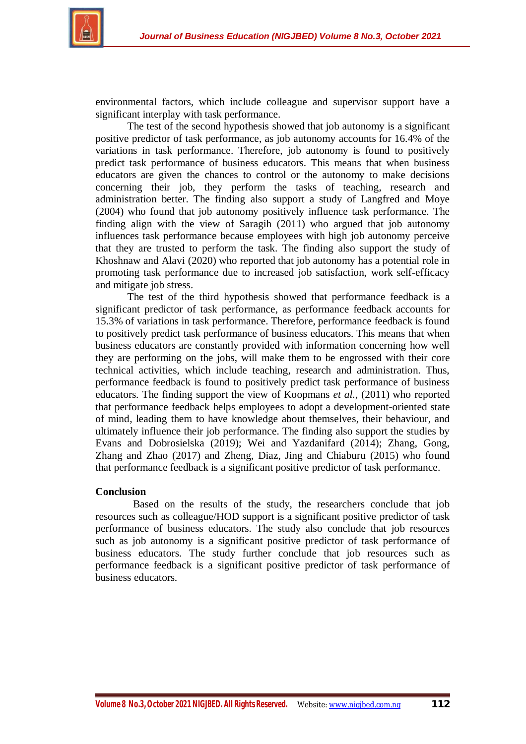



environmental factors, which include colleague and supervisor support have a significant interplay with task performance.

The test of the second hypothesis showed that job autonomy is a significant positive predictor of task performance, as job autonomy accounts for 16.4% of the variations in task performance. Therefore, job autonomy is found to positively predict task performance of business educators. This means that when business educators are given the chances to control or the autonomy to make decisions concerning their job, they perform the tasks of teaching, research and administration better. The finding also support a study of Langfred and Moye (2004) who found that job autonomy positively influence task performance. The finding align with the view of Saragih (2011) who argued that job autonomy influences task performance because employees with high job autonomy perceive that they are trusted to perform the task. The finding also support the study of Khoshnaw and Alavi (2020) who reported that job autonomy has a potential role in promoting task performance due to increased job satisfaction, work self-efficacy and mitigate job stress.

The test of the third hypothesis showed that performance feedback is a significant predictor of task performance, as performance feedback accounts for 15.3% of variations in task performance. Therefore, performance feedback is found to positively predict task performance of business educators. This means that when business educators are constantly provided with information concerning how well they are performing on the jobs, will make them to be engrossed with their core technical activities, which include teaching, research and administration. Thus, performance feedback is found to positively predict task performance of business educators. The finding support the view of Koopmans *et al.,* (2011) who reported that performance feedback helps employees to adopt a development-oriented state of mind, leading them to have knowledge about themselves, their behaviour, and ultimately influence their job performance. The finding also support the studies by Evans and Dobrosielska (2019); Wei and Yazdanifard (2014); Zhang, Gong, Zhang and Zhao (2017) and Zheng, Diaz, Jing and Chiaburu (2015) who found that performance feedback is a significant positive predictor of task performance.

#### **Conclusion**

Based on the results of the study, the researchers conclude that job resources such as colleague/HOD support is a significant positive predictor of task performance of business educators. The study also conclude that job resources such as job autonomy is a significant positive predictor of task performance of business educators. The study further conclude that job resources such as performance feedback is a significant positive predictor of task performance of business educators.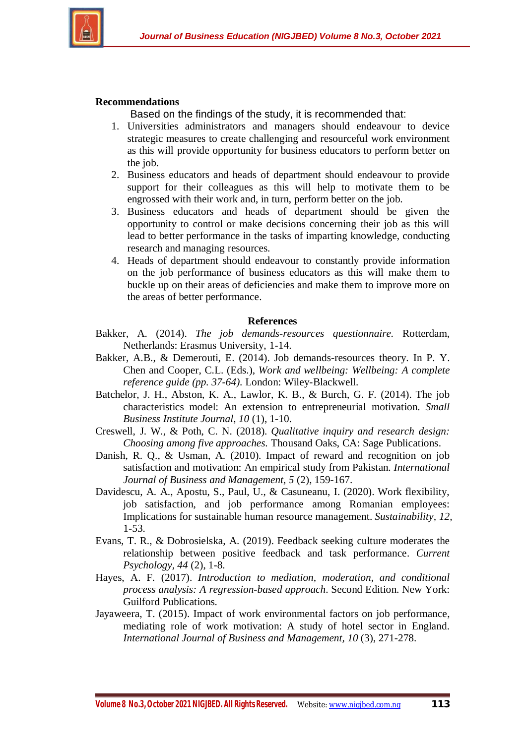

## **Recommendations**

Based on the findings of the study, it is recommended that:

- 1. Universities administrators and managers should endeavour to device strategic measures to create challenging and resourceful work environment as this will provide opportunity for business educators to perform better on the job.
- 2. Business educators and heads of department should endeavour to provide support for their colleagues as this will help to motivate them to be engrossed with their work and, in turn, perform better on the job.
- 3. Business educators and heads of department should be given the opportunity to control or make decisions concerning their job as this will lead to better performance in the tasks of imparting knowledge, conducting research and managing resources.
- 4. Heads of department should endeavour to constantly provide information on the job performance of business educators as this will make them to buckle up on their areas of deficiencies and make them to improve more on the areas of better performance.

#### **References**

- Bakker, A. (2014). *The job demands-resources questionnaire.* Rotterdam, Netherlands: Erasmus University, 1-14.
- Bakker, A.B., & Demerouti, E. (2014). Job demands-resources theory. In P. Y. Chen and Cooper, C.L. (Eds.), *Work and wellbeing: Wellbeing: A complete reference guide (pp. 37-64).* London: Wiley-Blackwell.
- Batchelor, J. H., Abston, K. A., Lawlor, K. B., & Burch, G. F. (2014). The job characteristics model: An extension to entrepreneurial motivation. *Small Business Institute Journal, 10* (1), 1-10.
- Creswell, J. W., & Poth, C. N. (2018). *Qualitative inquiry and research design: Choosing among five approaches.* Thousand Oaks, CA: Sage Publications.
- Danish, R. Q., & Usman, A. (2010). Impact of reward and recognition on job satisfaction and motivation: An empirical study from Pakistan. *International Journal of Business and Management, 5* (2), 159-167.
- Davidescu, A. A., Apostu, S., Paul, U., & Casuneanu, I. (2020). Work flexibility, job satisfaction, and job performance among Romanian employees: Implications for sustainable human resource management. *Sustainability, 12,* 1-53.
- Evans, T. R., & Dobrosielska, A. (2019). Feedback seeking culture moderates the relationship between positive feedback and task performance. *Current Psychology, 44* (2), 1-8.
- Hayes, A. F. (2017). *Introduction to mediation, moderation, and conditional process analysis: A regression-based approach*. Second Edition. New York: Guilford Publications.
- Jayaweera, T. (2015). Impact of work environmental factors on job performance, mediating role of work motivation: A study of hotel sector in England. *International Journal of Business and Management, 10* (3), 271-278.